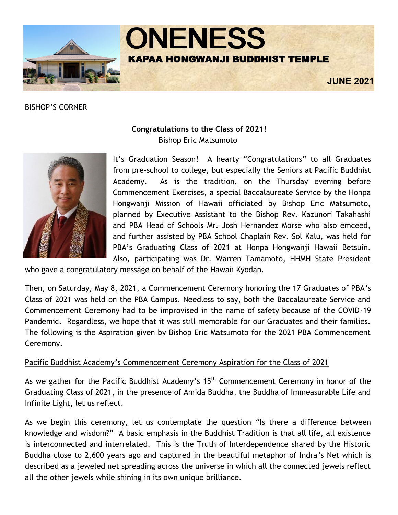

BISHOP'S CORNER



# **Congratulations to the Class of 2021!** Bishop Eric Matsumoto

It's Graduation Season! A hearty "Congratulations" to all Graduates from pre-school to college, but especially the Seniors at Pacific Buddhist Academy. As is the tradition, on the Thursday evening before Commencement Exercises, a special Baccalaureate Service by the Honpa Hongwanji Mission of Hawaii officiated by Bishop Eric Matsumoto, planned by Executive Assistant to the Bishop Rev. Kazunori Takahashi and PBA Head of Schools Mr. Josh Hernandez Morse who also emceed, and further assisted by PBA School Chaplain Rev. Sol Kalu, was held for PBA's Graduating Class of 2021 at Honpa Hongwanji Hawaii Betsuin. Also, participating was Dr. Warren Tamamoto, HHMH State President

who gave a congratulatory message on behalf of the Hawaii Kyodan.

Then, on Saturday, May 8, 2021, a Commencement Ceremony honoring the 17 Graduates of PBA's Class of 2021 was held on the PBA Campus. Needless to say, both the Baccalaureate Service and Commencement Ceremony had to be improvised in the name of safety because of the COVID-19 Pandemic. Regardless, we hope that it was still memorable for our Graduates and their families. The following is the Aspiration given by Bishop Eric Matsumoto for the 2021 PBA Commencement Ceremony.

## Pacific Buddhist Academy's Commencement Ceremony Aspiration for the Class of 2021

As we gather for the Pacific Buddhist Academy's 15<sup>th</sup> Commencement Ceremony in honor of the Graduating Class of 2021, in the presence of Amida Buddha, the Buddha of Immeasurable Life and Infinite Light, let us reflect.

As we begin this ceremony, let us contemplate the question "Is there a difference between knowledge and wisdom?" A basic emphasis in the Buddhist Tradition is that all life, all existence is interconnected and interrelated. This is the Truth of Interdependence shared by the Historic Buddha close to 2,600 years ago and captured in the beautiful metaphor of Indra's Net which is described as a jeweled net spreading across the universe in which all the connected jewels reflect all the other jewels while shining in its own unique brilliance.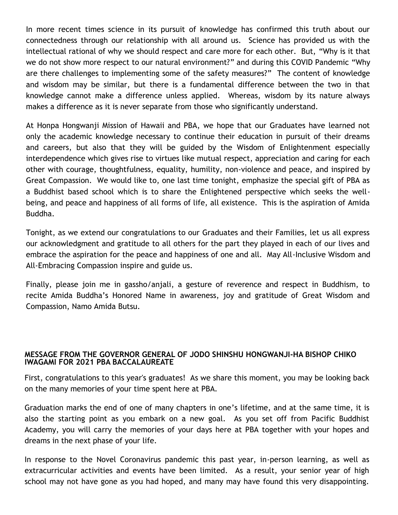In more recent times science in its pursuit of knowledge has confirmed this truth about our connectedness through our relationship with all around us. Science has provided us with the intellectual rational of why we should respect and care more for each other. But, "Why is it that we do not show more respect to our natural environment?" and during this COVID Pandemic "Why are there challenges to implementing some of the safety measures?" The content of knowledge and wisdom may be similar, but there is a fundamental difference between the two in that knowledge cannot make a difference unless applied. Whereas, wisdom by its nature always makes a difference as it is never separate from those who significantly understand.

At Honpa Hongwanji Mission of Hawaii and PBA, we hope that our Graduates have learned not only the academic knowledge necessary to continue their education in pursuit of their dreams and careers, but also that they will be guided by the Wisdom of Enlightenment especially interdependence which gives rise to virtues like mutual respect, appreciation and caring for each other with courage, thoughtfulness, equality, humility, non-violence and peace, and inspired by Great Compassion. We would like to, one last time tonight, emphasize the special gift of PBA as a Buddhist based school which is to share the Enlightened perspective which seeks the wellbeing, and peace and happiness of all forms of life, all existence. This is the aspiration of Amida Buddha.

Tonight, as we extend our congratulations to our Graduates and their Families, let us all express our acknowledgment and gratitude to all others for the part they played in each of our lives and embrace the aspiration for the peace and happiness of one and all. May All-Inclusive Wisdom and All-Embracing Compassion inspire and guide us.

Finally, please join me in gassho/anjali, a gesture of reverence and respect in Buddhism, to recite Amida Buddha's Honored Name in awareness, joy and gratitude of Great Wisdom and Compassion, Namo Amida Butsu.

#### **MESSAGE FROM THE GOVERNOR GENERAL OF JODO SHINSHU HONGWANJI-HA BISHOP CHIKO IWAGAMI FOR 2021 PBA BACCALAUREATE**

First, congratulations to this year's graduates! As we share this moment, you may be looking back on the many memories of your time spent here at PBA.

Graduation marks the end of one of many chapters in one's lifetime, and at the same time, it is also the starting point as you embark on a new goal. As you set off from Pacific Buddhist Academy, you will carry the memories of your days here at PBA together with your hopes and dreams in the next phase of your life.

In response to the Novel Coronavirus pandemic this past year, in-person learning, as well as extracurricular activities and events have been limited. As a result, your senior year of high school may not have gone as you had hoped, and many may have found this very disappointing.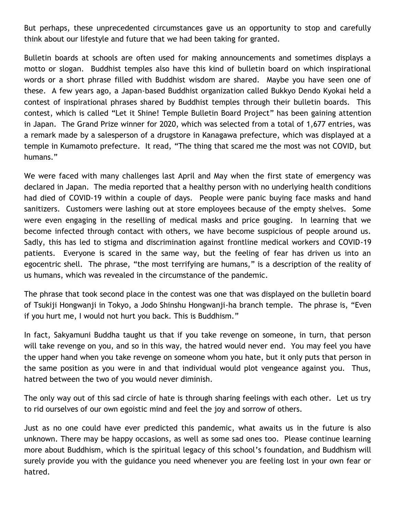But perhaps, these unprecedented circumstances gave us an opportunity to stop and carefully think about our lifestyle and future that we had been taking for granted.

Bulletin boards at schools are often used for making announcements and sometimes displays a motto or slogan. Buddhist temples also have this kind of bulletin board on which inspirational words or a short phrase filled with Buddhist wisdom are shared. Maybe you have seen one of these. A few years ago, a Japan-based Buddhist organization called Bukkyo Dendo Kyokai held a contest of inspirational phrases shared by Buddhist temples through their bulletin boards. This contest, which is called "Let it Shine! Temple Bulletin Board Project" has been gaining attention in Japan. The Grand Prize winner for 2020, which was selected from a total of 1,677 entries, was a remark made by a salesperson of a drugstore in Kanagawa prefecture, which was displayed at a temple in Kumamoto prefecture. It read, "The thing that scared me the most was not COVID, but humans."

We were faced with many challenges last April and May when the first state of emergency was declared in Japan. The media reported that a healthy person with no underlying health conditions had died of COVID-19 within a couple of days. People were panic buying face masks and hand sanitizers. Customers were lashing out at store employees because of the empty shelves. Some were even engaging in the reselling of medical masks and price gouging. In learning that we become infected through contact with others, we have become suspicious of people around us. Sadly, this has led to stigma and discrimination against frontline medical workers and COVID-19 patients. Everyone is scared in the same way, but the feeling of fear has driven us into an egocentric shell. The phrase, "the most terrifying are humans," is a description of the reality of us humans, which was revealed in the circumstance of the pandemic.

The phrase that took second place in the contest was one that was displayed on the bulletin board of Tsukiji Hongwanji in Tokyo, a Jodo Shinshu Hongwanji-ha branch temple. The phrase is, "Even if you hurt me, I would not hurt you back. This is Buddhism."

In fact, Sakyamuni Buddha taught us that if you take revenge on someone, in turn, that person will take revenge on you, and so in this way, the hatred would never end. You may feel you have the upper hand when you take revenge on someone whom you hate, but it only puts that person in the same position as you were in and that individual would plot vengeance against you. Thus, hatred between the two of you would never diminish.

The only way out of this sad circle of hate is through sharing feelings with each other. Let us try to rid ourselves of our own egoistic mind and feel the joy and sorrow of others.

Just as no one could have ever predicted this pandemic, what awaits us in the future is also unknown. There may be happy occasions, as well as some sad ones too. Please continue learning more about Buddhism, which is the spiritual legacy of this school's foundation, and Buddhism will surely provide you with the guidance you need whenever you are feeling lost in your own fear or hatred.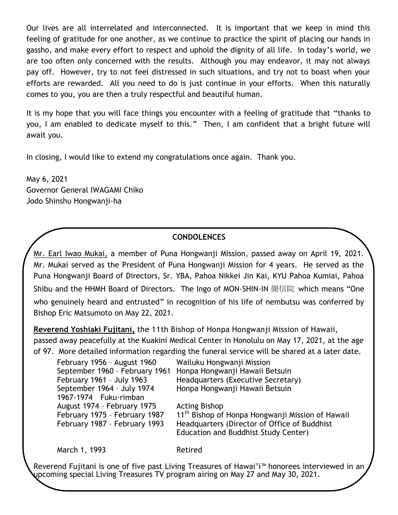Our lives are all interrelated and interconnected. It is important that we keep in mind this feeling of gratitude for one another, as we continue to practice the spirit of placing our hands in gassho, and make every effort to respect and uphold the dignity of all life. In today's world, we are too often only concerned with the results. Although you may endeavor, it may not always pay off. However, try to not feel distressed in such situations, and try not to boast when your efforts are rewarded. All you need to do is just continue in your efforts. When this naturally comes to you, you are then a truly respectful and beautiful human.

It is my hope that you will face things you encounter with a feeling of gratitude that "thanks to you, I am enabled to dedicate myself to this." Then, I am confident that a bright future will await you.

In closing, I would like to extend my congratulations once again. Thank you.

May 6, 2021 Governor General IWAGAMI Chiko Jodo Shinshu Hongwanji-ha

## **CONDOLENCES**

Mr. Earl Iwao Mukai, a member of Puna Hongwanji Mission, passed away on April 19, 2021. Mr. Mukai served as the President of Puna Hongwanji Mission for 4 years. He served as the Puna Hongwanji Board of Directors, Sr. YBA, Pahoa Nikkei Jin Kai, KYU Pahoa Kumiai, Pahoa Shibu and the HHMH Board of Directors. The Ingo of MON-SHIN-IN 聞信院 which means "One who genuinely heard and entrusted" in recognition of his life of nembutsu was conferred by Bishop Eric Matsumoto on May 22, 2021.

**Reverend Yoshiaki Fujitani,** the 11th Bishop of Honpa Hongwanji Mission of Hawaii, passed away peacefully at the Kuakini Medical Center in Honolulu on May 17, 2021, at the age of 97. More detailed information regarding the funeral service will be shared at a later date.

| February 1956 - August 1960   | Wailuku Hongwanji Mission                                     |
|-------------------------------|---------------------------------------------------------------|
|                               | September 1960 - February 1961 Honpa Hongwanji Hawaii Betsuin |
| February 1961 - July 1963     | Headquarters (Executive Secretary)                            |
| September 1964 - July 1974    | Honpa Hongwanji Hawaii Betsuin                                |
| 1967-1974 Fuku-rimban         |                                                               |
| August 1974 - February 1975   | <b>Acting Bishop</b>                                          |
| February 1975 - February 1987 | 11 <sup>th</sup> Bishop of Honpa Hongwanji Mission of Hawaii  |
| February 1987 - February 1993 | Headquarters (Director of Office of Buddhist                  |
|                               | Education and Buddhist Study Center)                          |

March 1, 1993 Retired

Reverend Fujitani is one of five past Living Treasures of Hawai'i™ honorees interviewed in an upcoming special Living Treasures TV program airing on May 27 and May 30, 2021.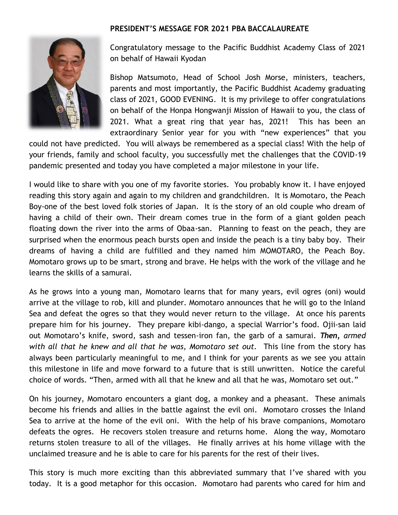## **PRESIDENT'S MESSAGE FOR 2021 PBA BACCALAUREATE**



Congratulatory message to the Pacific Buddhist Academy Class of 2021 on behalf of Hawaii Kyodan

Bishop Matsumoto, Head of School Josh Morse, ministers, teachers, parents and most importantly, the Pacific Buddhist Academy graduating class of 2021, GOOD EVENING. It is my privilege to offer congratulations on behalf of the Honpa Hongwanji Mission of Hawaii to you, the class of 2021. What a great ring that year has, 2021! This has been an extraordinary Senior year for you with "new experiences" that you

could not have predicted. You will always be remembered as a special class! With the help of your friends, family and school faculty, you successfully met the challenges that the COVID-19 pandemic presented and today you have completed a major milestone in your life.

I would like to share with you one of my favorite stories. You probably know it. I have enjoyed reading this story again and again to my children and grandchildren. It is Momotaro, the Peach Boy-one of the best loved folk stories of Japan. It is the story of an old couple who dream of having a child of their own. Their dream comes true in the form of a giant golden peach floating down the river into the arms of Obaa-san. Planning to feast on the peach, they are surprised when the enormous peach bursts open and inside the peach is a tiny baby boy. Their dreams of having a child are fulfilled and they named him MOMOTARO, the Peach Boy. Momotaro grows up to be smart, strong and brave. He helps with the work of the village and he learns the skills of a samurai.

As he grows into a young man, Momotaro learns that for many years, evil ogres (oni) would arrive at the village to rob, kill and plunder. Momotaro announces that he will go to the Inland Sea and defeat the ogres so that they would never return to the village. At once his parents prepare him for his journey. They prepare kibi-dango, a special Warrior's food. Ojii-san laid out Momotaro's knife, sword, sash and tessen-iron fan, the garb of a samurai. *Then, armed with all that he knew and all that he was, Momotaro set out.* This line from the story has always been particularly meaningful to me, and I think for your parents as we see you attain this milestone in life and move forward to a future that is still unwritten. Notice the careful choice of words. "Then, armed with all that he knew and all that he was, Momotaro set out."

On his journey, Momotaro encounters a giant dog, a monkey and a pheasant. These animals become his friends and allies in the battle against the evil oni. Momotaro crosses the Inland Sea to arrive at the home of the evil oni. With the help of his brave companions, Momotaro defeats the ogres. He recovers stolen treasure and returns home. Along the way, Momotaro returns stolen treasure to all of the villages. He finally arrives at his home village with the unclaimed treasure and he is able to care for his parents for the rest of their lives.

This story is much more exciting than this abbreviated summary that I've shared with you today. It is a good metaphor for this occasion. Momotaro had parents who cared for him and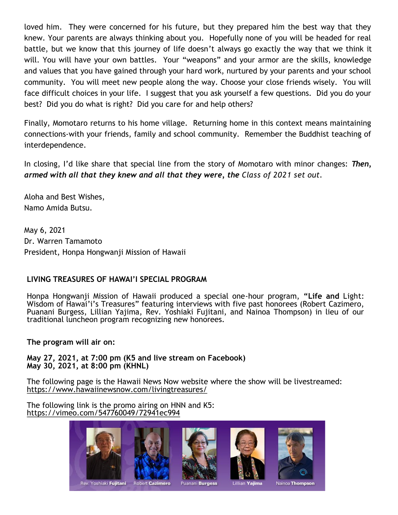loved him. They were concerned for his future, but they prepared him the best way that they knew. Your parents are always thinking about you. Hopefully none of you will be headed for real battle, but we know that this journey of life doesn't always go exactly the way that we think it will. You will have your own battles. Your "weapons" and your armor are the skills, knowledge and values that you have gained through your hard work, nurtured by your parents and your school community. You will meet new people along the way. Choose your close friends wisely. You will face difficult choices in your life. I suggest that you ask yourself a few questions. Did you do your best? Did you do what is right? Did you care for and help others?

Finally, Momotaro returns to his home village. Returning home in this context means maintaining connections-with your friends, family and school community. Remember the Buddhist teaching of interdependence.

In closing, I'd like share that special line from the story of Momotaro with minor changes: *Then, armed with all that they knew and all that they were, the Class of 2021 set out.* 

Aloha and Best Wishes, Namo Amida Butsu.

May 6, 2021 Dr. Warren Tamamoto President, Honpa Hongwanji Mission of Hawaii

## **LIVING TREASURES OF HAWAI'I SPECIAL PROGRAM**

Honpa Hongwanji Mission of Hawaii produced a special one-hour program, **"Life and** Light: Wisdom of Hawai'i's Treasures" featuring interviews with five past honorees (Robert Cazimero, Puanani Burgess, Lillian Yajima, Rev. Yoshiaki Fujitani, and Nainoa Thompson) in lieu of our traditional luncheon program recognizing new honorees.

**The program will air on:**

**May 27, 2021, at 7:00 pm (K5 and live stream on Facebook) May 30, 2021, at 8:00 pm (KHNL)**

The following page is the Hawaii News Now website where the show will be livestreamed: <https://www.hawaiinewsnow.com/livingtreasures/>

The following link is the promo airing on HNN and K5: <https://vimeo.com/547760049/72941ec994>

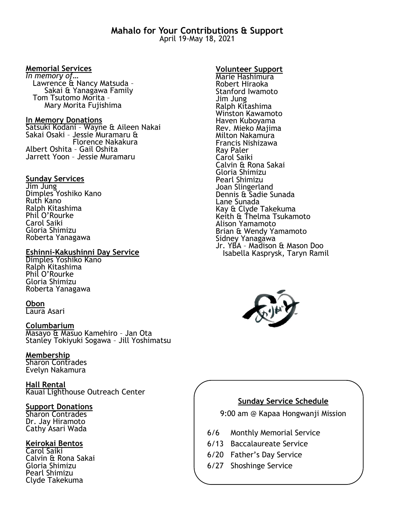#### **Memorial Services**

*In memory of…* Lawrence & Nancy Matsuda – Sakai & Yanagawa Family Tom Tsutomo Morita – Mary Morita Fujishima

#### **In Memory Donations**

Satsuki Kodani – Wayne & Aileen Nakai Sakai Osaki – Jessie Muramaru & Florence Nakakura Albert Oshita – Gail Oshita Jarrett Yoon – Jessie Muramaru

#### **Sunday Services**

Jim Jung Dimples Yoshiko Kano Ruth Kano Ralph Kitashima Phil O'Rourke Carol Saiki Gloria Shimizu Roberta Yanagawa

#### **Eshinni-Kakushinni Day Service**

Dimples Yoshiko Kano Ralph Kitashima Phil O'Rourke Gloria Shimizu Roberta Yanagawa

#### **Obon**

Laura Asari

#### **Columbarium**

Masayo & Masuo Kamehiro – Jan Ota Stanley Tokiyuki Sogawa – Jill Yoshimatsu

#### **Membership**

Sharon Contrades Evelyn Nakamura

**Hall Rental** Kauai Lighthouse Outreach Center

#### **Support Donations**

Sharon Contrades Dr. Jay Hiramoto Cathy Asari Wada

#### **Keirokai Bentos**

Carol Saiki Calvin & Rona Sakai Gloria Shimizu Pearl Shimizu Clyde Takekuma

#### **Volunteer Support**

Marie Hashimura Robert Hiraoka Stanford Iwamoto Jim Jung Ralph Kitashima Winston Kawamoto Haven Kuboyama Rev. Mieko Majima Milton Nakamura Francis Nishizawa Ray Paler Carol Saiki Calvin & Rona Sakai Gloria Shimizu Pearl Shimizu Joan Slingerland Dennis & Sadie Sunada Lane Sunada Kay & Clyde Takekuma Keith & Thelma Tsukamoto Alison Yamamoto Brian & Wendy Yamamoto Sidney Yanagawa Jr. YBA – Madison & Mason Doo Isabella Kasprysk, Taryn Ramil



## **Sunday Service Schedule**

9:00 am @ Kapaa Hongwanji Mission

- 6/6 Monthly Memorial Service
- 6/13 Baccalaureate Service
- 6/20 Father's Day Service
- 6/27 Shoshinge Service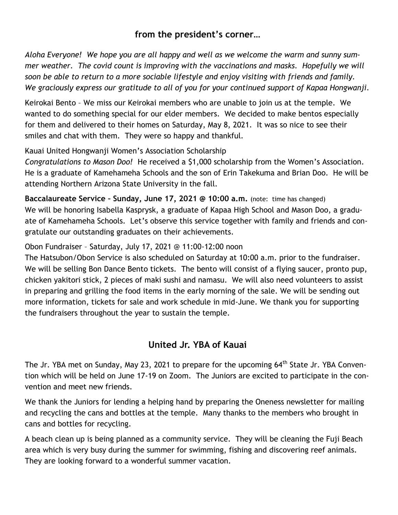# **from the president's corner…**

*Aloha Everyone! We hope you are all happy and well as we welcome the warm and sunny summer weather. The covid count is improving with the vaccinations and masks. Hopefully we will soon be able to return to a more sociable lifestyle and enjoy visiting with friends and family. We graciously express our gratitude to all of you for your continued support of Kapaa Hongwanji.* 

Keirokai Bento – We miss our Keirokai members who are unable to join us at the temple. We wanted to do something special for our elder members. We decided to make bentos especially for them and delivered to their homes on Saturday, May 8, 2021. It was so nice to see their smiles and chat with them. They were so happy and thankful.

Kauai United Hongwanji Women's Association Scholarship

*Congratulations to Mason Doo!* He received a \$1,000 scholarship from the Women's Association. He is a graduate of Kamehameha Schools and the son of Erin Takekuma and Brian Doo. He will be attending Northern Arizona State University in the fall.

**Baccalaureate Service – Sunday, June 17, 2021 @ 10:00 a.m.** (note: time has changed) We will be honoring Isabella Kasprysk, a graduate of Kapaa High School and Mason Doo, a graduate of Kamehameha Schools. Let's observe this service together with family and friends and congratulate our outstanding graduates on their achievements.

Obon Fundraiser – Saturday, July 17, 2021 @ 11:00-12:00 noon

The Hatsubon/Obon Service is also scheduled on Saturday at 10:00 a.m. prior to the fundraiser. We will be selling Bon Dance Bento tickets. The bento will consist of a flying saucer, pronto pup, chicken yakitori stick, 2 pieces of maki sushi and namasu. We will also need volunteers to assist in preparing and grilling the food items in the early morning of the sale. We will be sending out more information, tickets for sale and work schedule in mid-June. We thank you for supporting the fundraisers throughout the year to sustain the temple.

# **United Jr. YBA of Kauai**

The Jr. YBA met on Sunday, May 23, 2021 to prepare for the upcoming 64<sup>th</sup> State Jr. YBA Convention which will be held on June 17-19 on Zoom. The Juniors are excited to participate in the convention and meet new friends.

We thank the Juniors for lending a helping hand by preparing the Oneness newsletter for mailing and recycling the cans and bottles at the temple. Many thanks to the members who brought in cans and bottles for recycling.

A beach clean up is being planned as a community service. They will be cleaning the Fuji Beach area which is very busy during the summer for swimming, fishing and discovering reef animals. They are looking forward to a wonderful summer vacation.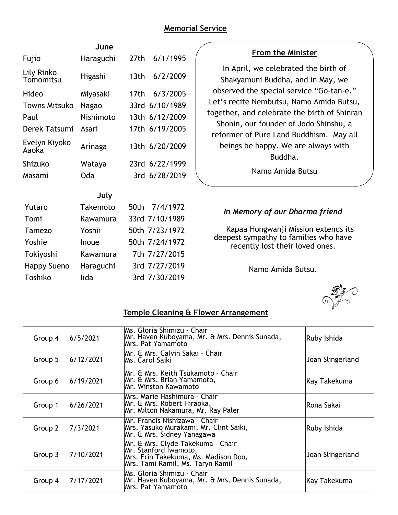# **Memorial Service**

| June                    |           |                              |  |  |
|-------------------------|-----------|------------------------------|--|--|
| Fujio                   | Haraguchi | 6/1/1995<br>27th             |  |  |
| Lily Rinko<br>Tomomitsu | Higashi   | 6/2/2009<br>13 <sub>th</sub> |  |  |
| Hideo                   | Miyasaki  | 6/3/2005<br>17th             |  |  |
| Towns Mitsuko           | Nagao     | 6/10/1989<br>33rd            |  |  |
| Paul                    | Nishimoto | 13th 6/12/2009               |  |  |
| Derek Tatsumi           | Asari     | 17th 6/19/2005               |  |  |
| Evelyn Kiyoko<br>Aaoka  | Arinaga   | 13th 6/20/2009               |  |  |
| Shizuko                 | Wataya    | 23rd 6/22/1999               |  |  |
| Masami                  | Oda       | 3rd 6/28/2019                |  |  |
| July                    |           |                              |  |  |
| Yutaro                  | Takemoto  | 50th<br>7/4/1972             |  |  |
| Tomi                    | Kawamura  | 33rd 7/10/1989               |  |  |
| Tamezo                  | Yoshii    | 50th 7/23/1972               |  |  |
| Yoshie                  | Inoue     | 50th 7/24/1972               |  |  |
| Tokiyoshi               | Kawamura  | 7th 7/27/2015                |  |  |
| <b>Happy Sueno</b>      | Haraguchi | 3rd 7/27/2019                |  |  |
| Toshiko                 | lida      | 3rd 7/30/2019                |  |  |

## **From the Minister**

In April, we celebrated the birth of Shakyamuni Buddha, and in May, we observed the special service "Go-tan-e." Let's recite Nembutsu, Namo Amida Butsu, together, and celebrate the birth of Shinran Shonin, our founder of Jodo Shinshu, a reformer of Pure Land Buddhism. May all beings be happy. We are always with Buddha.

Namo Amida Butsu

# *In Memory of our Dharma friend*

Kapaa Hongwanji Mission extends its deepest sympathy to families who have recently lost their loved ones.

Namo Amida Butsu.



## **Temple Cleaning & Flower Arrangement**

| Group 4 | 6/5/2021  | lMs. Gloria Shimizu - Chair<br>Mr. Haven Kuboyama, Mr. & Mrs. Dennis Sunada,<br>Mrs. Pat Yamamoto                                      | Ruby Ishida      |
|---------|-----------|----------------------------------------------------------------------------------------------------------------------------------------|------------------|
| Group 5 | 6/12/2021 | Mr. & Mrs. Calvin Sakai - Chair<br>lMs. Carol Saiki                                                                                    | Joan Slingerland |
| Group 6 | 6/19/2021 | Mr. & Mrs. Keith Tsukamoto - Chair<br>Mr. & Mrs. Brian Yamamoto,<br>lMr. Winston Kawamoto                                              | Kay Takekuma     |
| Group 1 | 6/26/2021 | Mrs. Marie Hashimura - Chair<br>Mr. & Mrs. Robert Hiraoka,<br>Mr. Milton Nakamura, Mr. Ray Paler                                       | lRona Sakai      |
| Group 2 | 17/3/2021 | Mr. Francis Nishizawa - Chair<br>Mrs. Yasuko Murakami, Mr. Clint Saiki,<br>Mr. & Mrs. Sidney Yanagawa                                  | Ruby Ishida      |
| Group 3 | 7/10/2021 | Mr. & Mrs. Clyde Takekuma - Chair<br>Mr. Stanford İwamoto,<br>Mrs. Erin Takekuma, Ms. Madison Doo,<br>Mrs. Tami Ramil, Ms. Taryn Ramil | Joan Slingerland |
| Group 4 | 7/17/2021 | Ms. Gloria Shimizu - Chair<br>Mr. Haven Kuboyama, Mr. & Mrs. Dennis Sunada,<br>lMrs. Pat Yamamoto                                      | Kay Takekuma     |